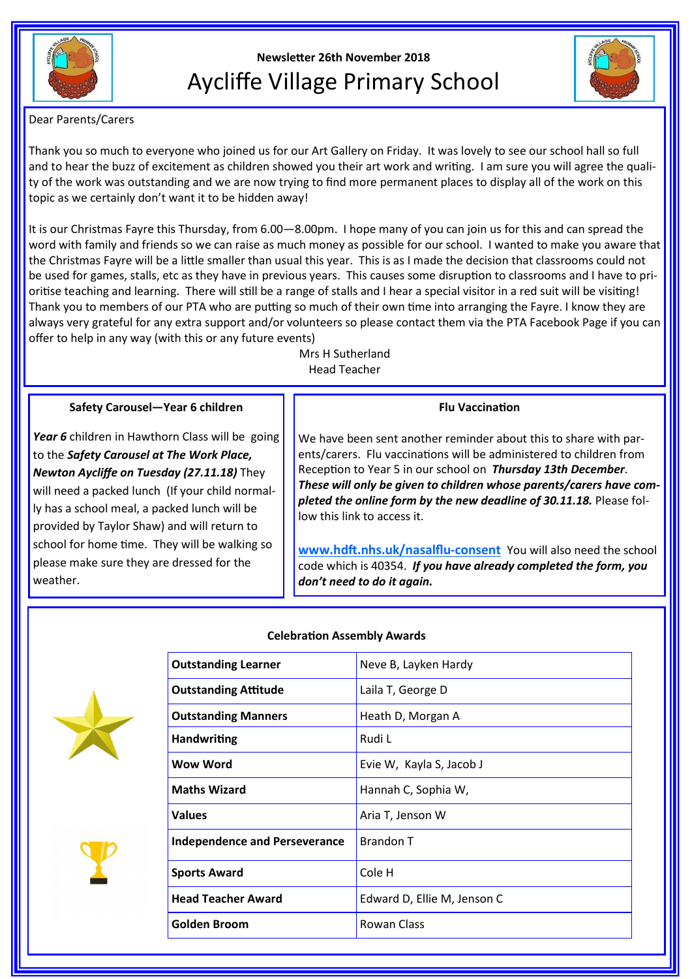

# **Newsletter 26th November 2018** Aycliffe Village Primary School



Dear Parents/Carers

Thank you so much to everyone who joined us for our Art Gallery on Friday. It was lovely to see our school hall so full and to hear the buzz of excitement as children showed you their art work and writing. I am sure you will agree the quality of the work was outstanding and we are now trying to find more permanent places to display all of the work on this topic as we certainly don't want it to be hidden away!

It is our Christmas Fayre this Thursday, from 6.00—8.00pm. I hope many of you can join us for this and can spread the word with family and friends so we can raise as much money as possible for our school. I wanted to make you aware that the Christmas Fayre will be a little smaller than usual this year. This is as I made the decision that classrooms could not be used for games, stalls, etc as they have in previous years. This causes some disruption to classrooms and I have to prioritise teaching and learning. There will still be a range of stalls and I hear a special visitor in a red suit will be visiting! Thank you to members of our PTA who are putting so much of their own time into arranging the Fayre. I know they are always very grateful for any extra support and/or volunteers so please contact them via the PTA Facebook Page if you can offer to help in any way (with this or any future events)

Mrs H Sutherland Head Teacher

#### **Safety Carousel—Year 6 children**

Year 6 children in Hawthorn Class will be going to the *Safety Carousel at The Work Place, Newton Aycliffe on Tuesday (27.11.18)* They will need a packed lunch (If your child normally has a school meal, a packed lunch will be provided by Taylor Shaw) and will return to school for home time. They will be walking so please make sure they are dressed for the weather.

#### **Flu Vaccination**

We have been sent another reminder about this to share with parents/carers. Flu vaccinations will be administered to children from Reception to Year 5 in our school on *Thursday 13th December*. *These will only be given to children whose parents/carers have completed the online form by the new deadline of 30.11.18.* Please follow this link to access it.

**[www.hdft.nhs.uk/nasalflu](https://mail.durhamschools.org.uk/owa/p2411.admin@durhamlearning.net/redir.aspx?C=qdCN9eidZ0e0B9jTKNZoybBIDqn5VtYIrwMgyzu-7cOBFyuiQMXe7rL_W83Ysu0hFO72NvRrtsA.&URL=http%3a%2f%2fwww.hdft.nhs.uk%2fnasalflu-consent)-consent** You will also need the school code which is 40354. *If you have already completed the form, you don't need to do it again.* 



#### **Celebration Assembly Awards**



| <b>Outstanding Learner</b>           | Neve B, Layken Hardy        |
|--------------------------------------|-----------------------------|
| <b>Outstanding Attitude</b>          | Laila T, George D           |
| <b>Outstanding Manners</b>           | Heath D, Morgan A           |
| <b>Handwriting</b>                   | Rudi L                      |
| Wow Word                             | Evie W, Kayla S, Jacob J    |
| <b>Maths Wizard</b>                  | Hannah C, Sophia W,         |
| <b>Values</b>                        | Aria T, Jenson W            |
| <b>Independence and Perseverance</b> | <b>Brandon T</b>            |
| <b>Sports Award</b>                  | Cole H                      |
| <b>Head Teacher Award</b>            | Edward D, Ellie M, Jenson C |
| Golden Broom                         | Rowan Class                 |
|                                      |                             |